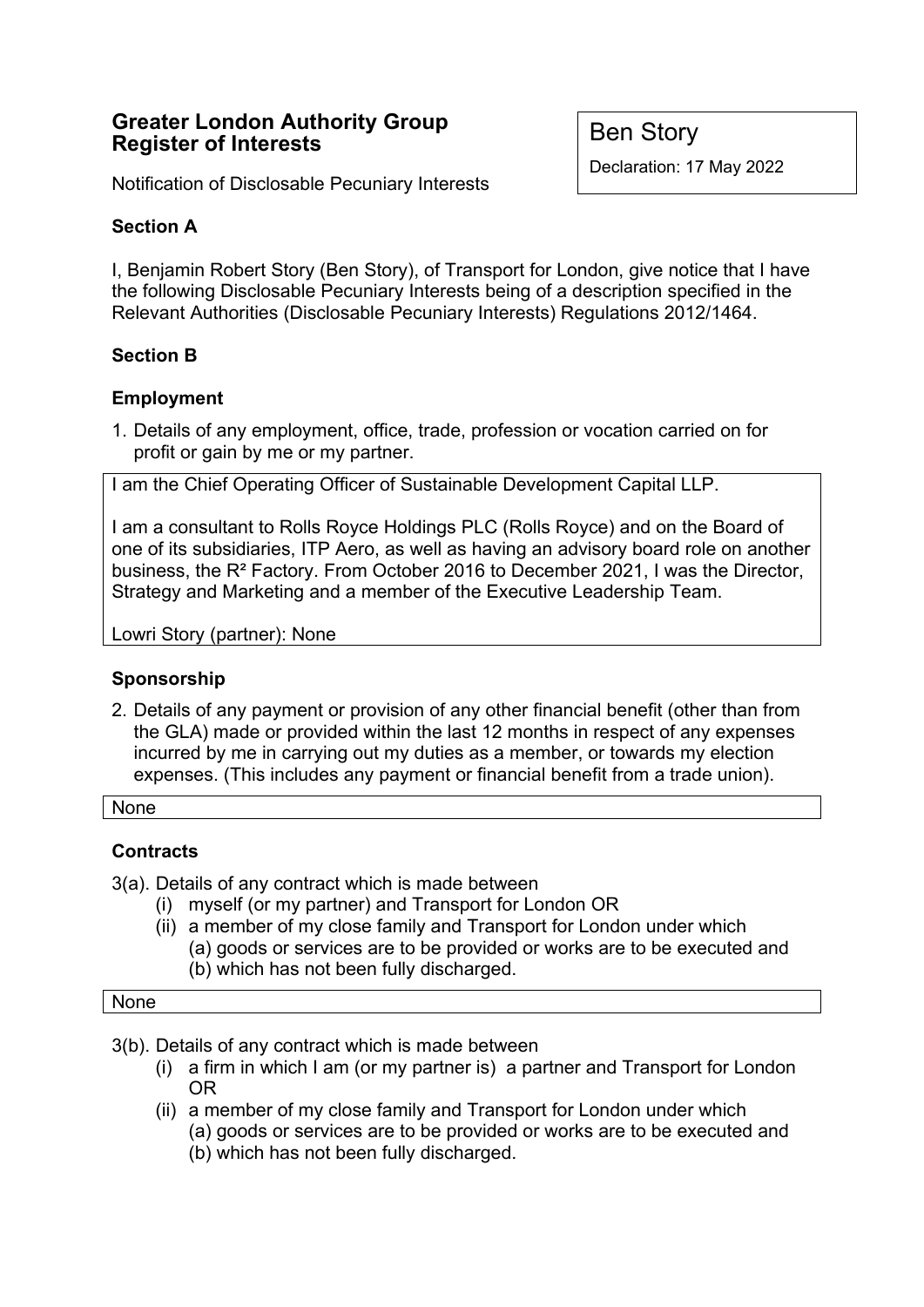# **Greater London Authority Group Register of Interests**

Ben Story

Notification of Disclosable Pecuniary Interests

# Declaration: 17 May 2022

# **Section A**

I, Benjamin Robert Story (Ben Story), of Transport for London, give notice that I have the following Disclosable Pecuniary Interests being of a description specified in the Relevant Authorities (Disclosable Pecuniary Interests) Regulations 2012/1464.

# **Section B**

## **Employment**

1. Details of any employment, office, trade, profession or vocation carried on for profit or gain by me or my partner.

I am the Chief Operating Officer of Sustainable Development Capital LLP.

I am a consultant to Rolls Royce Holdings PLC (Rolls Royce) and on the Board of one of its subsidiaries, ITP Aero, as well as having an advisory board role on another business, the R² Factory. From October 2016 to December 2021, I was the Director, Strategy and Marketing and a member of the Executive Leadership Team.

Lowri Story (partner): None

## **Sponsorship**

2. Details of any payment or provision of any other financial benefit (other than from the GLA) made or provided within the last 12 months in respect of any expenses incurred by me in carrying out my duties as a member, or towards my election expenses. (This includes any payment or financial benefit from a trade union).

## None

## **Contracts**

3(a). Details of any contract which is made between

- (i) myself (or my partner) and Transport for London OR
- (ii) a member of my close family and Transport for London under which (a) goods or services are to be provided or works are to be executed and (b) which has not been fully discharged.

## None

- 3(b). Details of any contract which is made between
	- (i) a firm in which I am (or my partner is) a partner and Transport for London OR
	- (ii) a member of my close family and Transport for London under which (a) goods or services are to be provided or works are to be executed and (b) which has not been fully discharged.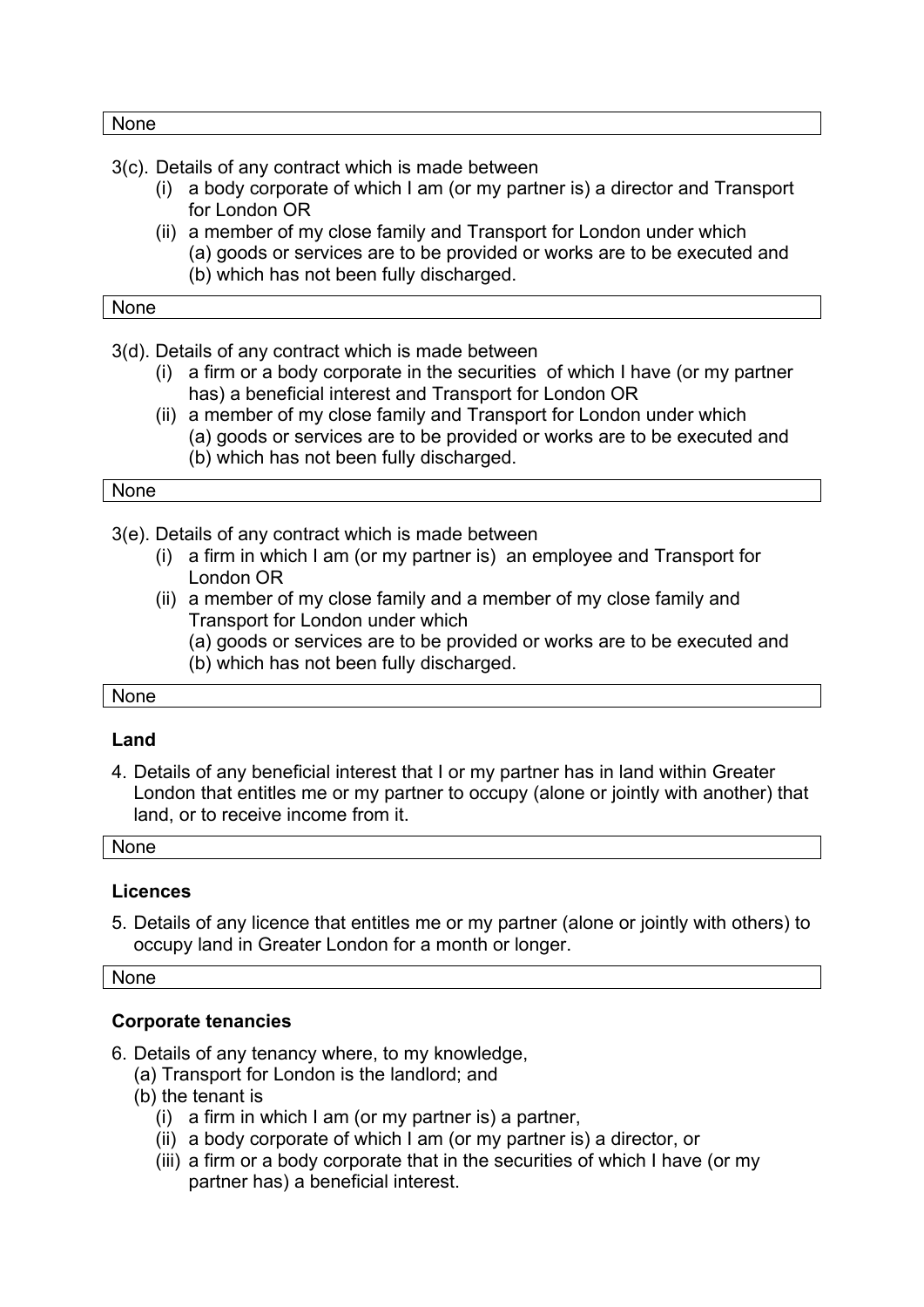#### None

- 3(c). Details of any contract which is made between
	- (i) a body corporate of which I am (or my partner is) a director and Transport for London OR
	- (ii) a member of my close family and Transport for London under which (a) goods or services are to be provided or works are to be executed and (b) which has not been fully discharged.

#### None

3(d). Details of any contract which is made between

- (i) a firm or a body corporate in the securities of which I have (or my partner has) a beneficial interest and Transport for London OR
- (ii) a member of my close family and Transport for London under which (a) goods or services are to be provided or works are to be executed and (b) which has not been fully discharged.

#### None

3(e). Details of any contract which is made between

- (i) a firm in which I am (or my partner is) an employee and Transport for London OR
- (ii) a member of my close family and a member of my close family and Transport for London under which
	- (a) goods or services are to be provided or works are to be executed and (b) which has not been fully discharged.

### None

### **Land**

4. Details of any beneficial interest that I or my partner has in land within Greater London that entitles me or my partner to occupy (alone or jointly with another) that land, or to receive income from it.

#### None

### **Licences**

5. Details of any licence that entitles me or my partner (alone or jointly with others) to occupy land in Greater London for a month or longer.

### None

### **Corporate tenancies**

- 6. Details of any tenancy where, to my knowledge,
	- (a) Transport for London is the landlord; and
	- (b) the tenant is
		- (i) a firm in which I am (or my partner is) a partner,
		- (ii) a body corporate of which I am (or my partner is) a director, or
		- (iii) a firm or a body corporate that in the securities of which I have (or my partner has) a beneficial interest.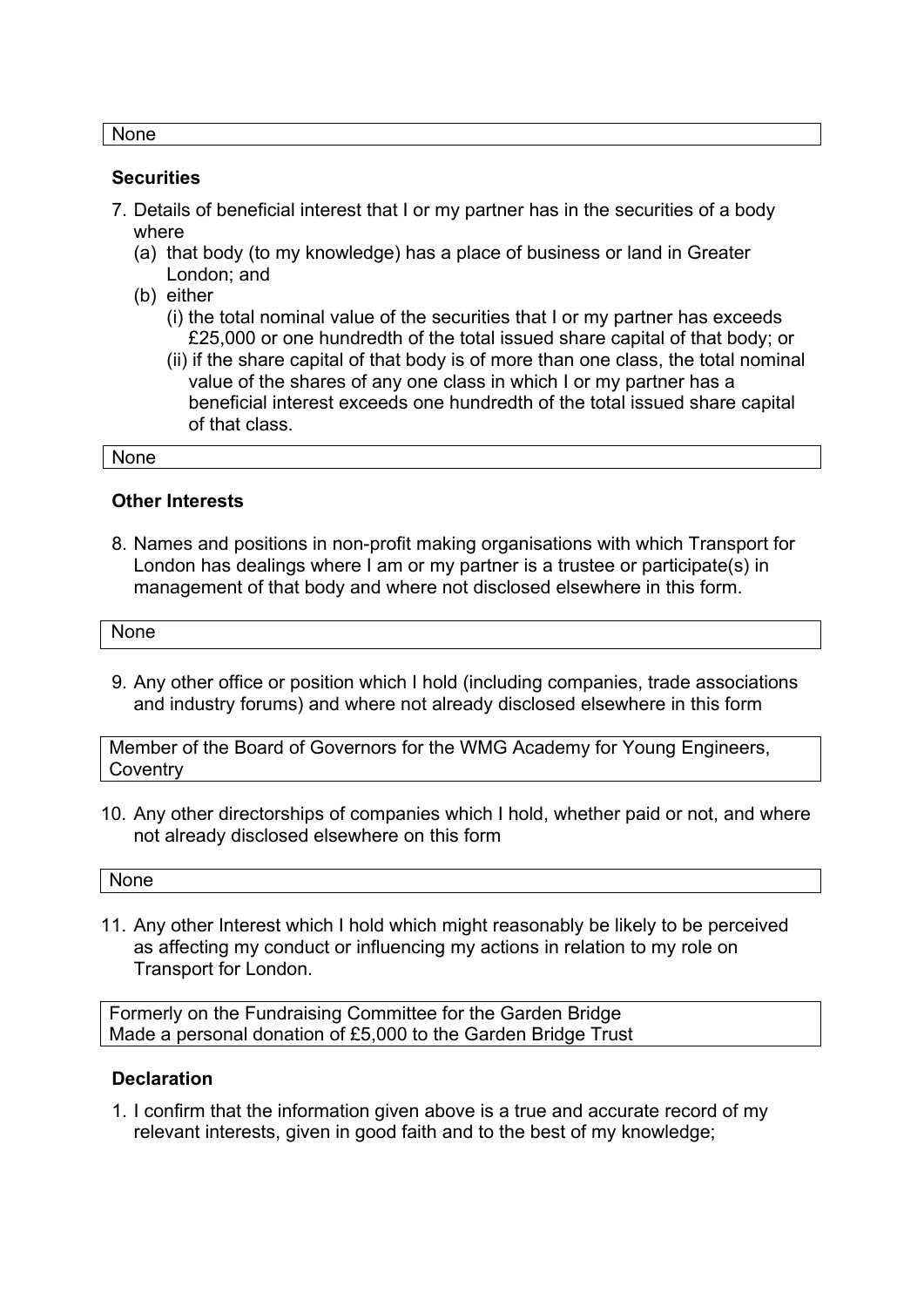#### None

### **Securities**

- 7. Details of beneficial interest that I or my partner has in the securities of a body where
	- (a) that body (to my knowledge) has a place of business or land in Greater London; and
	- (b) either
		- (i) the total nominal value of the securities that I or my partner has exceeds £25,000 or one hundredth of the total issued share capital of that body; or
		- (ii) if the share capital of that body is of more than one class, the total nominal value of the shares of any one class in which I or my partner has a beneficial interest exceeds one hundredth of the total issued share capital of that class.

#### None

### **Other Interests**

8. Names and positions in non-profit making organisations with which Transport for London has dealings where I am or my partner is a trustee or participate(s) in management of that body and where not disclosed elsewhere in this form.

## None

9. Any other office or position which I hold (including companies, trade associations and industry forums) and where not already disclosed elsewhere in this form

Member of the Board of Governors for the WMG Academy for Young Engineers, **Coventry** 

10. Any other directorships of companies which I hold, whether paid or not, and where not already disclosed elsewhere on this form

None

11. Any other Interest which I hold which might reasonably be likely to be perceived as affecting my conduct or influencing my actions in relation to my role on Transport for London.

Formerly on the Fundraising Committee for the Garden Bridge Made a personal donation of £5,000 to the Garden Bridge Trust

### **Declaration**

1. I confirm that the information given above is a true and accurate record of my relevant interests, given in good faith and to the best of my knowledge;